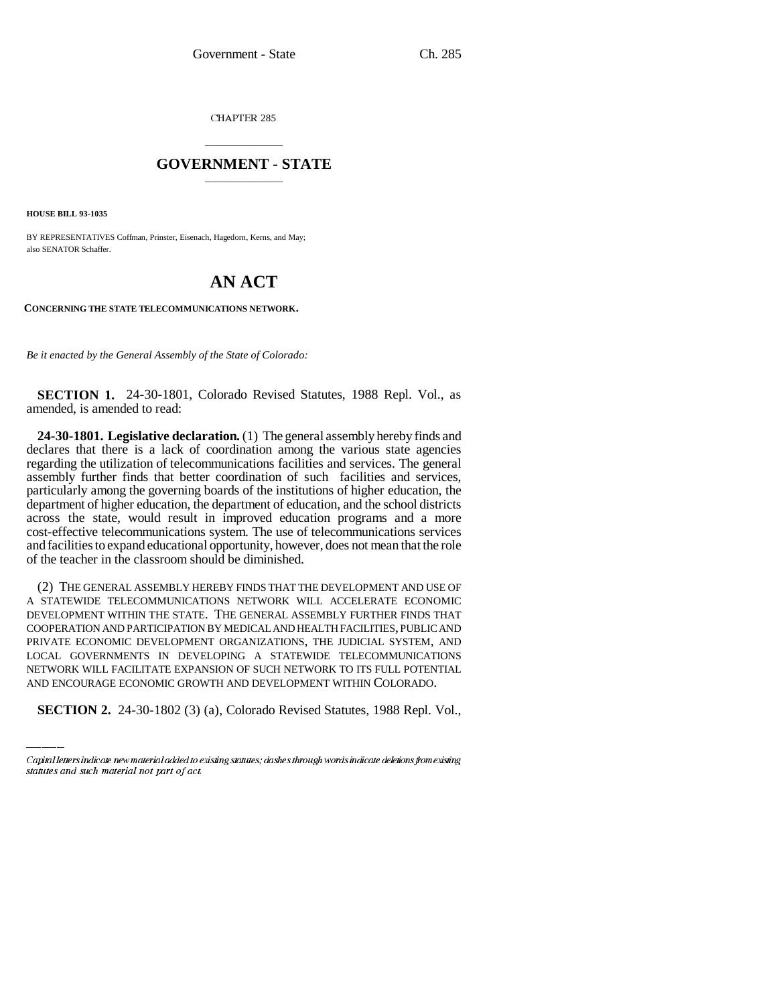CHAPTER 285

## \_\_\_\_\_\_\_\_\_\_\_\_\_\_\_ **GOVERNMENT - STATE** \_\_\_\_\_\_\_\_\_\_\_\_\_\_\_

**HOUSE BILL 93-1035**

BY REPRESENTATIVES Coffman, Prinster, Eisenach, Hagedorn, Kerns, and May; also SENATOR Schaffer.

## **AN ACT**

**CONCERNING THE STATE TELECOMMUNICATIONS NETWORK.**

*Be it enacted by the General Assembly of the State of Colorado:*

**SECTION 1.** 24-30-1801, Colorado Revised Statutes, 1988 Repl. Vol., as amended, is amended to read:

**24-30-1801. Legislative declaration.** (1) The general assembly hereby finds and declares that there is a lack of coordination among the various state agencies regarding the utilization of telecommunications facilities and services. The general assembly further finds that better coordination of such facilities and services, particularly among the governing boards of the institutions of higher education, the department of higher education, the department of education, and the school districts across the state, would result in improved education programs and a more cost-effective telecommunications system. The use of telecommunications services and facilities to expand educational opportunity, however, does not mean that the role of the teacher in the classroom should be diminished.

LOCAL GOVERNMENTS IN DEVELOPING A STATEWIDE TELECOMMUNICATIONS (2) THE GENERAL ASSEMBLY HEREBY FINDS THAT THE DEVELOPMENT AND USE OF A STATEWIDE TELECOMMUNICATIONS NETWORK WILL ACCELERATE ECONOMIC DEVELOPMENT WITHIN THE STATE. THE GENERAL ASSEMBLY FURTHER FINDS THAT COOPERATION AND PARTICIPATION BY MEDICAL AND HEALTH FACILITIES, PUBLIC AND PRIVATE ECONOMIC DEVELOPMENT ORGANIZATIONS, THE JUDICIAL SYSTEM, AND NETWORK WILL FACILITATE EXPANSION OF SUCH NETWORK TO ITS FULL POTENTIAL AND ENCOURAGE ECONOMIC GROWTH AND DEVELOPMENT WITHIN COLORADO.

**SECTION 2.** 24-30-1802 (3) (a), Colorado Revised Statutes, 1988 Repl. Vol.,

Capital letters indicate new material added to existing statutes; dashes through words indicate deletions from existing statutes and such material not part of act.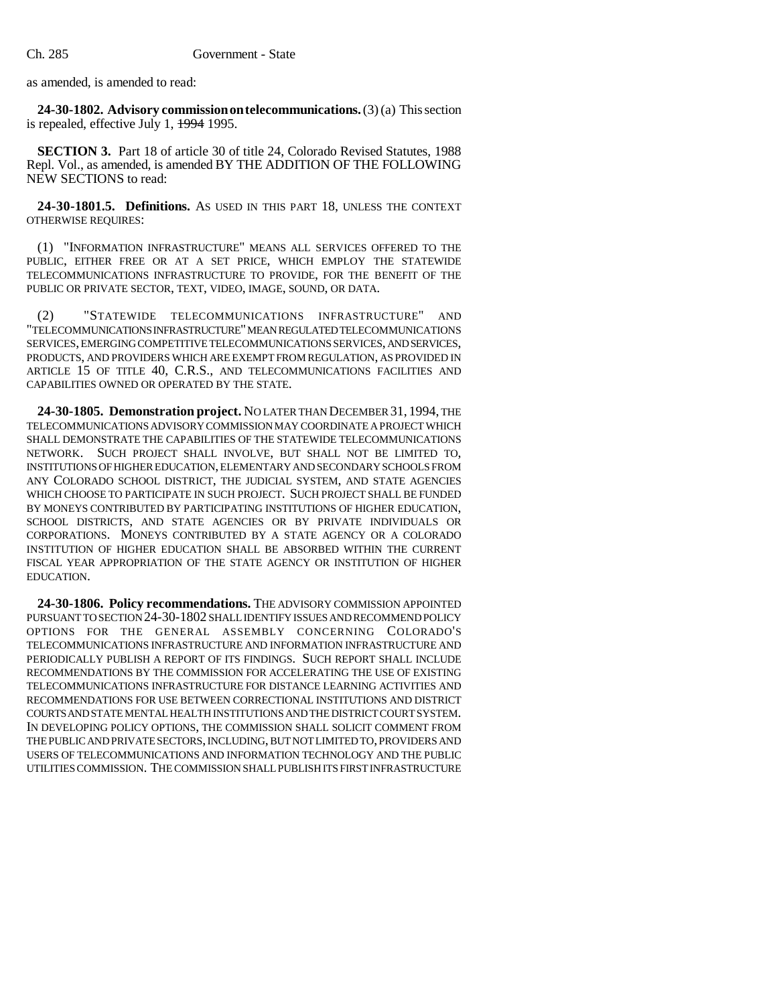as amended, is amended to read:

**24-30-1802. Advisory commission on telecommunications.** (3) (a) This section is repealed, effective July 1, 1994 1995.

**SECTION 3.** Part 18 of article 30 of title 24, Colorado Revised Statutes, 1988 Repl. Vol., as amended, is amended BY THE ADDITION OF THE FOLLOWING NEW SECTIONS to read:

**24-30-1801.5. Definitions.** AS USED IN THIS PART 18, UNLESS THE CONTEXT OTHERWISE REQUIRES:

(1) "INFORMATION INFRASTRUCTURE" MEANS ALL SERVICES OFFERED TO THE PUBLIC, EITHER FREE OR AT A SET PRICE, WHICH EMPLOY THE STATEWIDE TELECOMMUNICATIONS INFRASTRUCTURE TO PROVIDE, FOR THE BENEFIT OF THE PUBLIC OR PRIVATE SECTOR, TEXT, VIDEO, IMAGE, SOUND, OR DATA.

(2) "STATEWIDE TELECOMMUNICATIONS INFRASTRUCTURE" AND "TELECOMMUNICATIONS INFRASTRUCTURE" MEAN REGULATED TELECOMMUNICATIONS SERVICES, EMERGING COMPETITIVE TELECOMMUNICATIONS SERVICES, AND SERVICES, PRODUCTS, AND PROVIDERS WHICH ARE EXEMPT FROM REGULATION, AS PROVIDED IN ARTICLE 15 OF TITLE 40, C.R.S., AND TELECOMMUNICATIONS FACILITIES AND CAPABILITIES OWNED OR OPERATED BY THE STATE.

**24-30-1805. Demonstration project.** NO LATER THAN DECEMBER 31, 1994, THE TELECOMMUNICATIONS ADVISORY COMMISSION MAY COORDINATE A PROJECT WHICH SHALL DEMONSTRATE THE CAPABILITIES OF THE STATEWIDE TELECOMMUNICATIONS NETWORK. SUCH PROJECT SHALL INVOLVE, BUT SHALL NOT BE LIMITED TO, INSTITUTIONS OF HIGHER EDUCATION, ELEMENTARY AND SECONDARY SCHOOLS FROM ANY COLORADO SCHOOL DISTRICT, THE JUDICIAL SYSTEM, AND STATE AGENCIES WHICH CHOOSE TO PARTICIPATE IN SUCH PROJECT. SUCH PROJECT SHALL BE FUNDED BY MONEYS CONTRIBUTED BY PARTICIPATING INSTITUTIONS OF HIGHER EDUCATION, SCHOOL DISTRICTS, AND STATE AGENCIES OR BY PRIVATE INDIVIDUALS OR CORPORATIONS. MONEYS CONTRIBUTED BY A STATE AGENCY OR A COLORADO INSTITUTION OF HIGHER EDUCATION SHALL BE ABSORBED WITHIN THE CURRENT FISCAL YEAR APPROPRIATION OF THE STATE AGENCY OR INSTITUTION OF HIGHER EDUCATION.

**24-30-1806. Policy recommendations.** THE ADVISORY COMMISSION APPOINTED PURSUANT TO SECTION 24-30-1802 SHALL IDENTIFY ISSUES AND RECOMMEND POLICY OPTIONS FOR THE GENERAL ASSEMBLY CONCERNING COLORADO'S TELECOMMUNICATIONS INFRASTRUCTURE AND INFORMATION INFRASTRUCTURE AND PERIODICALLY PUBLISH A REPORT OF ITS FINDINGS. SUCH REPORT SHALL INCLUDE RECOMMENDATIONS BY THE COMMISSION FOR ACCELERATING THE USE OF EXISTING TELECOMMUNICATIONS INFRASTRUCTURE FOR DISTANCE LEARNING ACTIVITIES AND RECOMMENDATIONS FOR USE BETWEEN CORRECTIONAL INSTITUTIONS AND DISTRICT COURTS AND STATE MENTAL HEALTH INSTITUTIONS AND THE DISTRICT COURT SYSTEM. IN DEVELOPING POLICY OPTIONS, THE COMMISSION SHALL SOLICIT COMMENT FROM THE PUBLIC AND PRIVATE SECTORS, INCLUDING, BUT NOT LIMITED TO, PROVIDERS AND USERS OF TELECOMMUNICATIONS AND INFORMATION TECHNOLOGY AND THE PUBLIC UTILITIES COMMISSION. THE COMMISSION SHALL PUBLISH ITS FIRST INFRASTRUCTURE